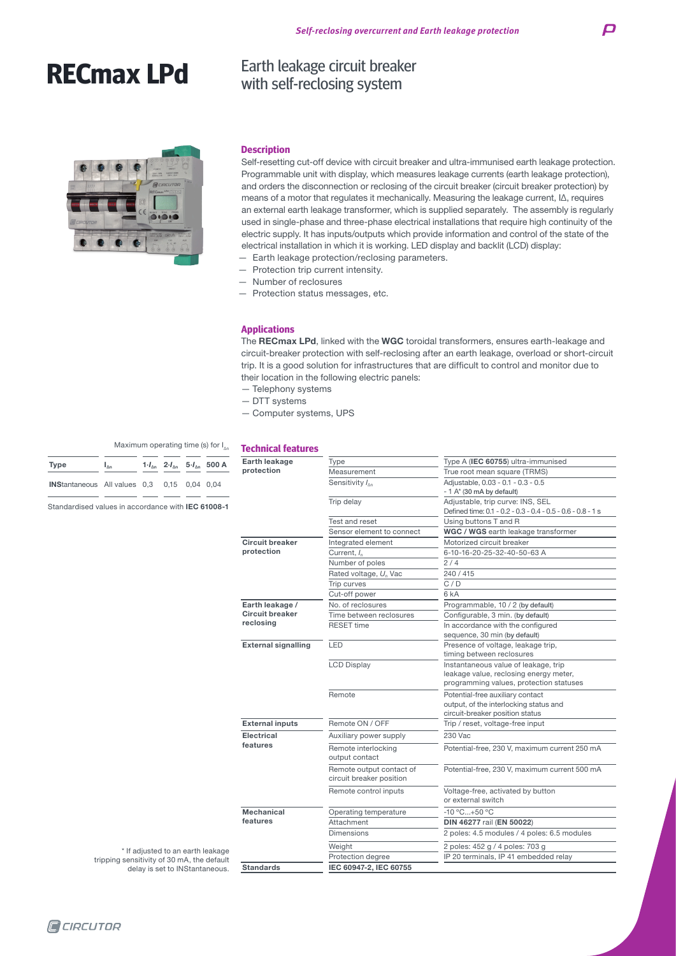# **RECmax LPd**

#### **Description**

Self-resetting cut-off device with circuit breaker and ultra-immunised earth leakage protection. Programmable unit with display, which measures leakage currents (earth leakage protection), and orders the disconnection or reclosing of the circuit breaker (circuit breaker protection) by means of a motor that regulates it mechanically. Measuring the leakage current, IΔ, requires an external earth leakage transformer, which is supplied separately. The assembly is regularly used in single-phase and three-phase electrical installations that require high continuity of the electric supply. It has inputs/outputs which provide information and control of the state of the electrical installation in which it is working. LED display and backlit (LCD) display:

— Earth leakage protection/reclosing parameters.

Earth leakage circuit breaker with self-reclosing system

- Protection trip current intensity.
- Number of reclosures
- Protection status messages, etc.

#### **Applications**

The RECmax LPd, linked with the WGC toroidal transformers, ensures earth-leakage and circuit-breaker protection with self-reclosing after an earth leakage, overload or short-circuit trip. It is a good solution for infrastructures that are difficult to control and monitor due to their location in the following electric panels:

- Telephony systems
- DTT systems
- Computer systems, UPS

| <b>Technical features</b><br>Λn |  |
|---------------------------------|--|
|---------------------------------|--|

|                                                                                                          |                                                                            |      |                                                      |                                                                                                                           | Earth leakage                         | Type                                                                                            | Type A (IEC 60755) ultra-immunised                                                                            |  |                   |                        |         |
|----------------------------------------------------------------------------------------------------------|----------------------------------------------------------------------------|------|------------------------------------------------------|---------------------------------------------------------------------------------------------------------------------------|---------------------------------------|-------------------------------------------------------------------------------------------------|---------------------------------------------------------------------------------------------------------------|--|-------------------|------------------------|---------|
|                                                                                                          | $1 \cdot I_{\Delta n}$ $2 \cdot I_{\Delta n}$ $5 \cdot I_{\Delta n}$ 500 A |      | protection                                           | Measurement                                                                                                               | True root mean square (TRMS)          |                                                                                                 |                                                                                                               |  |                   |                        |         |
| alues 0,3                                                                                                |                                                                            | 0,15 |                                                      | $0,04$ 0.04                                                                                                               |                                       | Adjustable, 0.03 - 0.1 - 0.3 - 0.5<br>Sensitivity $I_{\text{An}}$<br>$-1$ A* (30 mA by default) |                                                                                                               |  |                   |                        |         |
| in accordance with <b>IEC 61008-1</b>                                                                    |                                                                            |      | Trip delay                                           | Adjustable, trip curve: INS, SEL<br>Defined time: 0.1 - 0.2 - 0.3 - 0.4 - 0.5 - 0.6 - 0.8 - 1 s                           |                                       |                                                                                                 |                                                                                                               |  |                   |                        |         |
|                                                                                                          |                                                                            |      | Test and reset                                       | Using buttons T and R                                                                                                     |                                       |                                                                                                 |                                                                                                               |  |                   |                        |         |
|                                                                                                          |                                                                            |      |                                                      |                                                                                                                           |                                       | Sensor element to connect                                                                       | WGC / WGS earth leakage transformer                                                                           |  |                   |                        |         |
|                                                                                                          |                                                                            |      |                                                      |                                                                                                                           | <b>Circuit breaker</b>                | Integrated element                                                                              | Motorized circuit breaker                                                                                     |  |                   |                        |         |
|                                                                                                          |                                                                            |      |                                                      |                                                                                                                           | protection                            | Current, $I_n$                                                                                  | 6-10-16-20-25-32-40-50-63 A                                                                                   |  |                   |                        |         |
|                                                                                                          |                                                                            |      |                                                      |                                                                                                                           |                                       | Number of poles                                                                                 | 2/4                                                                                                           |  |                   |                        |         |
|                                                                                                          |                                                                            |      |                                                      |                                                                                                                           |                                       | Rated voltage, U <sub>n</sub> Vac                                                               | 240 / 415                                                                                                     |  |                   |                        |         |
|                                                                                                          |                                                                            |      |                                                      |                                                                                                                           |                                       | Trip curves                                                                                     | C/D                                                                                                           |  |                   |                        |         |
|                                                                                                          |                                                                            |      |                                                      |                                                                                                                           |                                       | Cut-off power                                                                                   | 6 <sub>kA</sub>                                                                                               |  |                   |                        |         |
|                                                                                                          |                                                                            |      |                                                      |                                                                                                                           | Earth leakage /                       | No. of reclosures                                                                               | Programmable, 10 / 2 (by default)                                                                             |  |                   |                        |         |
|                                                                                                          |                                                                            |      |                                                      |                                                                                                                           | <b>Circuit breaker</b>                | Time between reclosures                                                                         | Configurable, 3 min. (by default)                                                                             |  |                   |                        |         |
|                                                                                                          |                                                                            |      |                                                      |                                                                                                                           | reclosing                             | <b>RESET time</b>                                                                               | In accordance with the configured<br>sequence, 30 min (by default)                                            |  |                   |                        |         |
|                                                                                                          |                                                                            |      |                                                      |                                                                                                                           | <b>External signalling</b>            | LED                                                                                             | Presence of voltage, leakage trip,<br>timing between reclosures                                               |  |                   |                        |         |
|                                                                                                          |                                                                            |      | <b>LCD Display</b>                                   | Instantaneous value of leakage, trip<br>leakage value, reclosing energy meter,<br>programming values, protection statuses |                                       |                                                                                                 |                                                                                                               |  |                   |                        |         |
|                                                                                                          |                                                                            |      |                                                      |                                                                                                                           |                                       | Remote                                                                                          | Potential-free auxiliary contact<br>output, of the interlocking status and<br>circuit-breaker position status |  |                   |                        |         |
|                                                                                                          |                                                                            |      |                                                      |                                                                                                                           | <b>External inputs</b>                | Remote ON / OFF                                                                                 | Trip / reset, voltage-free input                                                                              |  |                   |                        |         |
|                                                                                                          |                                                                            |      |                                                      |                                                                                                                           |                                       |                                                                                                 |                                                                                                               |  | <b>Electrical</b> | Auxiliary power supply | 230 Vac |
|                                                                                                          |                                                                            |      |                                                      | features                                                                                                                  | Remote interlocking<br>output contact | Potential-free, 230 V, maximum current 250 mA                                                   |                                                                                                               |  |                   |                        |         |
|                                                                                                          |                                                                            |      | Remote output contact of<br>circuit breaker position | Potential-free, 230 V, maximum current 500 mA                                                                             |                                       |                                                                                                 |                                                                                                               |  |                   |                        |         |
|                                                                                                          |                                                                            |      |                                                      |                                                                                                                           | Remote control inputs                 | Voltage-free, activated by button<br>or external switch                                         |                                                                                                               |  |                   |                        |         |
|                                                                                                          |                                                                            |      |                                                      |                                                                                                                           | Mechanical                            | Operating temperature                                                                           | $-10 °C+50 °C$                                                                                                |  |                   |                        |         |
|                                                                                                          |                                                                            |      |                                                      | features                                                                                                                  | Attachment                            | DIN 46277 rail (EN 50022)                                                                       |                                                                                                               |  |                   |                        |         |
|                                                                                                          |                                                                            |      |                                                      |                                                                                                                           |                                       | Dimensions                                                                                      | 2 poles: 4.5 modules / 4 poles: 6.5 modules                                                                   |  |                   |                        |         |
|                                                                                                          |                                                                            |      |                                                      |                                                                                                                           |                                       | Weight                                                                                          | 2 poles: 452 g / 4 poles: 703 g                                                                               |  |                   |                        |         |
| * If adjusted to an earth leakage<br>sensitivity of 30 mA, the default<br>delay is set to INStantaneous. |                                                                            |      |                                                      |                                                                                                                           | Protection degree                     | IP 20 terminals, IP 41 embedded relay                                                           |                                                                                                               |  |                   |                        |         |
|                                                                                                          |                                                                            |      |                                                      |                                                                                                                           | <b>Standards</b>                      | IEC 60947-2, IEC 60755                                                                          |                                                                                                               |  |                   |                        |         |

## Type  $I_{\Delta n}$  1· $I_{\Delta n}$  2· $I_{\Delta n}$  5· $I_{\Delta n}$ INStantaneous All values  $0,3$  0,15 0,04 0 Maximum operating time (s) for I

Standardised values in accordance with IEC 61

**Q**CIRCUTOR

tripping sensitivity of 30 mA, the